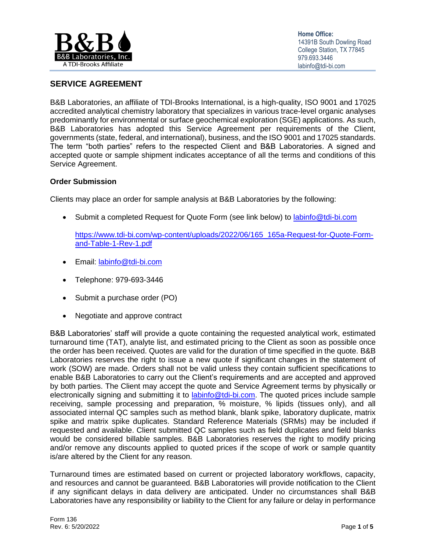

# **SERVICE AGREEMENT**

B&B Laboratories, an affiliate of TDI-Brooks International, is a high-quality, ISO 9001 and 17025 accredited analytical chemistry laboratory that specializes in various trace-level organic analyses predominantly for environmental or surface geochemical exploration (SGE) applications. As such, B&B Laboratories has adopted this Service Agreement per requirements of the Client, governments (state, federal, and international), business, and the ISO 9001 and 17025 standards. The term "both parties" refers to the respected Client and B&B Laboratories. A signed and accepted quote or sample shipment indicates acceptance of all the terms and conditions of this Service Agreement.

### **Order Submission**

Clients may place an order for sample analysis at B&B Laboratories by the following:

• Submit a completed Request for Quote Form (see link below) to [labinfo@tdi-bi.com](mailto:labinfo@tdi-bi.com)

[https://www.tdi-bi.com/wp-content/uploads/2022/06/165\\_165a-Request-for-Quote-Form](https://www.tdi-bi.com/wp-content/uploads/2022/06/165_165a-Request-for-Quote-Form-and-Table-1-Rev-1.pdf)[and-Table-1-Rev-1.pdf](https://www.tdi-bi.com/wp-content/uploads/2022/06/165_165a-Request-for-Quote-Form-and-Table-1-Rev-1.pdf)

- Email: [labinfo@tdi-bi.com](mailto:labinfo@tdi-bi.com)
- Telephone: 979-693-3446
- Submit a purchase order (PO)
- Negotiate and approve contract

B&B Laboratories' staff will provide a quote containing the requested analytical work, estimated turnaround time (TAT), analyte list, and estimated pricing to the Client as soon as possible once the order has been received. Quotes are valid for the duration of time specified in the quote. B&B Laboratories reserves the right to issue a new quote if significant changes in the statement of work (SOW) are made. Orders shall not be valid unless they contain sufficient specifications to enable B&B Laboratories to carry out the Client's requirements and are accepted and approved by both parties. The Client may accept the quote and Service Agreement terms by physically or electronically signing and submitting it to [labinfo@tdi-bi.com.](mailto:labinfo@tdi-bi.com) The quoted prices include sample receiving, sample processing and preparation, % moisture, % lipids (tissues only), and all associated internal QC samples such as method blank, blank spike, laboratory duplicate, matrix spike and matrix spike duplicates. Standard Reference Materials (SRMs) may be included if requested and available. Client submitted QC samples such as field duplicates and field blanks would be considered billable samples. B&B Laboratories reserves the right to modify pricing and/or remove any discounts applied to quoted prices if the scope of work or sample quantity is/are altered by the Client for any reason.

Turnaround times are estimated based on current or projected laboratory workflows, capacity, and resources and cannot be guaranteed. B&B Laboratories will provide notification to the Client if any significant delays in data delivery are anticipated. Under no circumstances shall B&B Laboratories have any responsibility or liability to the Client for any failure or delay in performance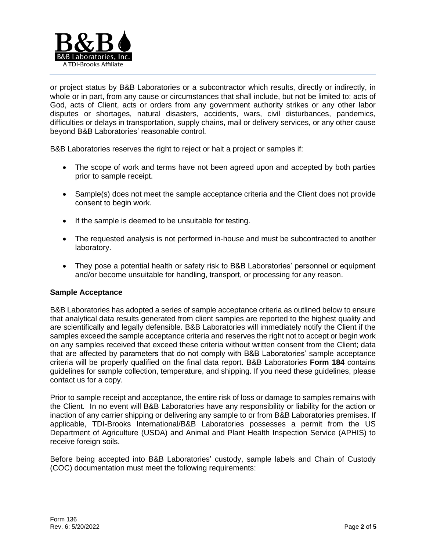

or project status by B&B Laboratories or a subcontractor which results, directly or indirectly, in whole or in part, from any cause or circumstances that shall include, but not be limited to: acts of God, acts of Client, acts or orders from any government authority strikes or any other labor disputes or shortages, natural disasters, accidents, wars, civil disturbances, pandemics, difficulties or delays in transportation, supply chains, mail or delivery services, or any other cause beyond B&B Laboratories' reasonable control.

B&B Laboratories reserves the right to reject or halt a project or samples if:

- The scope of work and terms have not been agreed upon and accepted by both parties prior to sample receipt.
- Sample(s) does not meet the sample acceptance criteria and the Client does not provide consent to begin work.
- If the sample is deemed to be unsuitable for testing.
- The requested analysis is not performed in-house and must be subcontracted to another laboratory.
- They pose a potential health or safety risk to B&B Laboratories' personnel or equipment and/or become unsuitable for handling, transport, or processing for any reason.

#### **Sample Acceptance**

B&B Laboratories has adopted a series of sample acceptance criteria as outlined below to ensure that analytical data results generated from client samples are reported to the highest quality and are scientifically and legally defensible. B&B Laboratories will immediately notify the Client if the samples exceed the sample acceptance criteria and reserves the right not to accept or begin work on any samples received that exceed these criteria without written consent from the Client; data that are affected by parameters that do not comply with B&B Laboratories' sample acceptance criteria will be properly qualified on the final data report. B&B Laboratories **Form 184** contains guidelines for sample collection, temperature, and shipping. If you need these guidelines, please contact us for a copy.

Prior to sample receipt and acceptance, the entire risk of loss or damage to samples remains with the Client. In no event will B&B Laboratories have any responsibility or liability for the action or inaction of any carrier shipping or delivering any sample to or from B&B Laboratories premises. If applicable, TDI-Brooks International/B&B Laboratories possesses a permit from the US Department of Agriculture (USDA) and Animal and Plant Health Inspection Service (APHIS) to receive foreign soils.

Before being accepted into B&B Laboratories' custody, sample labels and Chain of Custody (COC) documentation must meet the following requirements: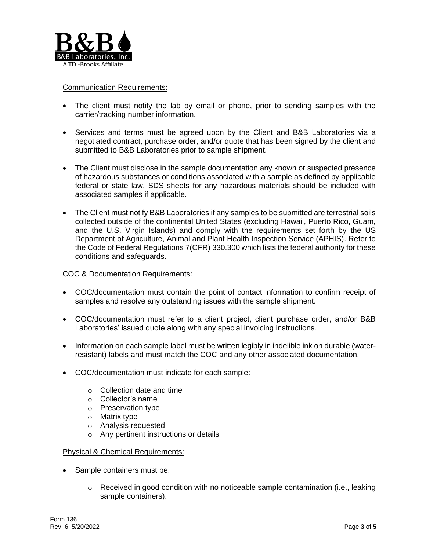

### Communication Requirements:

- The client must notify the lab by email or phone, prior to sending samples with the carrier/tracking number information.
- Services and terms must be agreed upon by the Client and B&B Laboratories via a negotiated contract, purchase order, and/or quote that has been signed by the client and submitted to B&B Laboratories prior to sample shipment.
- The Client must disclose in the sample documentation any known or suspected presence of hazardous substances or conditions associated with a sample as defined by applicable federal or state law. SDS sheets for any hazardous materials should be included with associated samples if applicable.
- The Client must notify B&B Laboratories if any samples to be submitted are terrestrial soils collected outside of the continental United States (excluding Hawaii, Puerto Rico, Guam, and the U.S. Virgin Islands) and comply with the requirements set forth by the US Department of Agriculture, Animal and Plant Health Inspection Service (APHIS). Refer to the Code of Federal Regulations 7(CFR) 330.300 which lists the federal authority for these conditions and safeguards.

# COC & Documentation Requirements:

- COC/documentation must contain the point of contact information to confirm receipt of samples and resolve any outstanding issues with the sample shipment.
- COC/documentation must refer to a client project, client purchase order, and/or B&B Laboratories' issued quote along with any special invoicing instructions.
- Information on each sample label must be written legibly in indelible ink on durable (waterresistant) labels and must match the COC and any other associated documentation.
- COC/documentation must indicate for each sample:
	- o Collection date and time
	- o Collector's name
	- o Preservation type
	- o Matrix type
	- o Analysis requested
	- o Any pertinent instructions or details

#### Physical & Chemical Requirements:

- Sample containers must be:
	- $\circ$  Received in good condition with no noticeable sample contamination (i.e., leaking sample containers).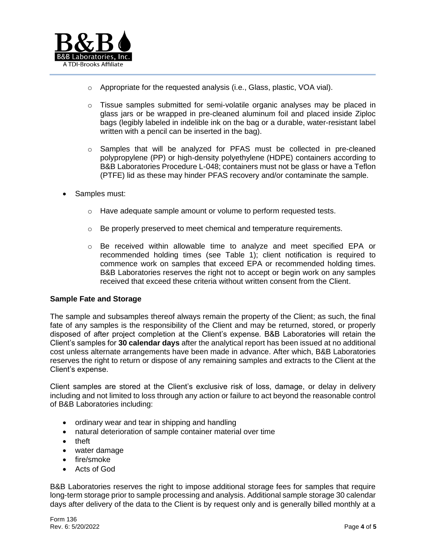

- o Appropriate for the requested analysis (i.e., Glass, plastic, VOA vial).
- o Tissue samples submitted for semi-volatile organic analyses may be placed in glass jars or be wrapped in pre-cleaned aluminum foil and placed inside Ziploc bags (legibly labeled in indelible ink on the bag or a durable, water-resistant label written with a pencil can be inserted in the bag).
- o Samples that will be analyzed for PFAS must be collected in pre-cleaned polypropylene (PP) or high-density polyethylene (HDPE) containers according to B&B Laboratories Procedure L-048; containers must not be glass or have a Teflon (PTFE) lid as these may hinder PFAS recovery and/or contaminate the sample.
- Samples must:
	- $\circ$  Have adequate sample amount or volume to perform requested tests.
	- o Be properly preserved to meet chemical and temperature requirements.
	- o Be received within allowable time to analyze and meet specified EPA or recommended holding times (see Table 1); client notification is required to commence work on samples that exceed EPA or recommended holding times. B&B Laboratories reserves the right not to accept or begin work on any samples received that exceed these criteria without written consent from the Client.

#### **Sample Fate and Storage**

The sample and subsamples thereof always remain the property of the Client; as such, the final fate of any samples is the responsibility of the Client and may be returned, stored, or properly disposed of after project completion at the Client's expense. B&B Laboratories will retain the Client's samples for **30 calendar days** after the analytical report has been issued at no additional cost unless alternate arrangements have been made in advance. After which, B&B Laboratories reserves the right to return or dispose of any remaining samples and extracts to the Client at the Client's expense.

Client samples are stored at the Client's exclusive risk of loss, damage, or delay in delivery including and not limited to loss through any action or failure to act beyond the reasonable control of B&B Laboratories including:

- ordinary wear and tear in shipping and handling
- natural deterioration of sample container material over time
- theft
- water damage
- fire/smoke
- Acts of God

B&B Laboratories reserves the right to impose additional storage fees for samples that require long-term storage prior to sample processing and analysis. Additional sample storage 30 calendar days after delivery of the data to the Client is by request only and is generally billed monthly at a